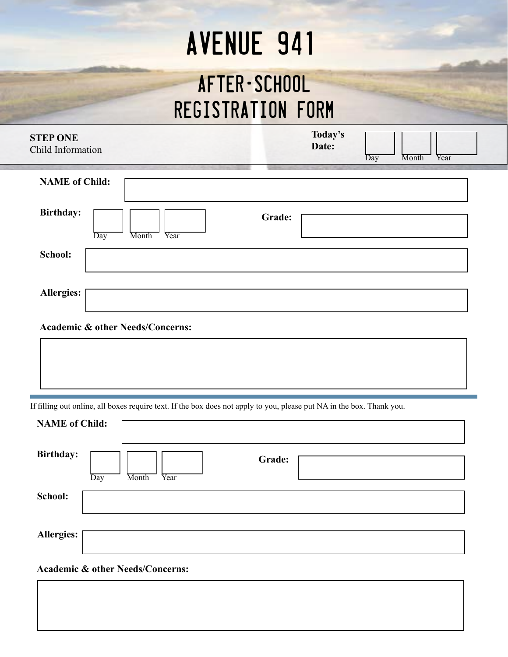# **AVENUE 941**

### After-School Registration Form

| <b>STEP ONE</b><br>Child Information     | Today's<br>Date:<br>Month<br>Year<br>Day |
|------------------------------------------|------------------------------------------|
| <b>NAME of Child:</b>                    |                                          |
| <b>Birthday:</b><br>Month<br>Day<br>Year | Grade:                                   |
| School:                                  |                                          |
| Allergies:                               |                                          |

#### **Academic & other Needs/Concerns:**

If filling out online, all boxes require text. If the box does not apply to you, please put NA in the box. Thank you.

**Academic & other Needs/Concerns:**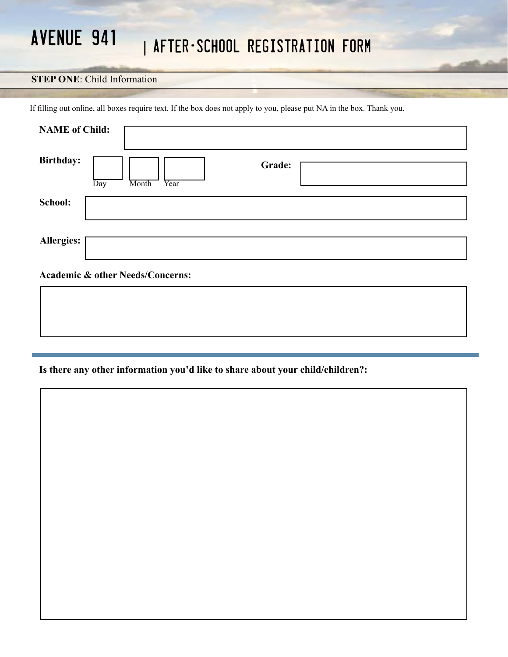#### **STEP ONE**: Child Information

If filling out online, all boxes require text. If the box does not apply to you, please put NA in the box. Thank you.

| <b>NAME</b> of Child: |                                             |
|-----------------------|---------------------------------------------|
| <b>Birthday:</b>      | Grade:<br>Day<br>Month<br>Year              |
| School:               |                                             |
| <b>Allergies:</b>     |                                             |
|                       | <b>Academic &amp; other Needs/Concerns:</b> |

#### **Is there any other information you'd like to share about your child/children?:**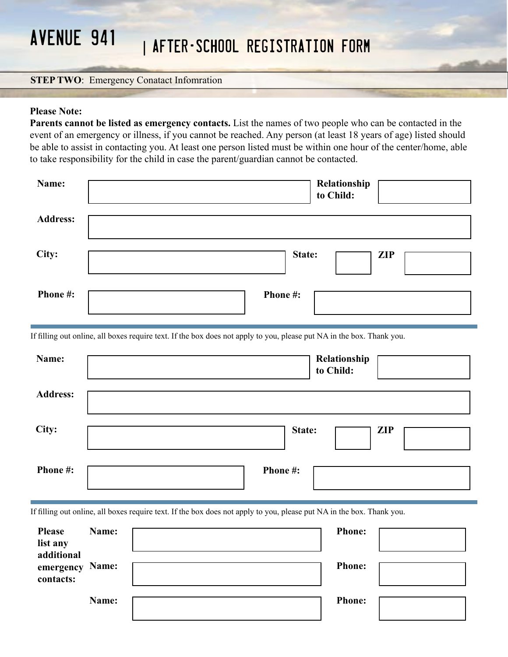#### **STEP TWO: Emergency Conatact Infomration**

#### **Please Note:**

֖֖֖֖֖֖֖ׅ֖֖֧֪֪ׅ֖֧֪֪ׅ֖֖֧֧֪֪֪ׅ֖֪֪֪֪֪֪֪֪֪֪֪֪֪֪ׅ֧֚֚֚֚֚֚֚֚֚֚֚֚֚֚֚֚֚֚֚֚֚֚֚֚֚֚֚֚֚֚֚֡֝֝֞֡֝֝֞֝֝

**Parents cannot be listed as emergency contacts.** List the names of two people who can be contacted in the event of an emergency or illness, if you cannot be reached. Any person (at least 18 years of age) listed should be able to assist in contacting you. At least one person listed must be within one hour of the center/home, able to take responsibility for the child in case the parent/guardian cannot be contacted.

| Name:           | Relationship<br>to Child: |
|-----------------|---------------------------|
| <b>Address:</b> |                           |
| City:           | State:<br><b>ZIP</b>      |
| Phone #:        | Phone#:                   |

If filling out online, all boxes require text. If the box does not apply to you, please put NA in the box. Thank you.

| Name:           | Relationship<br>to Child: |
|-----------------|---------------------------|
| <b>Address:</b> |                           |
| City:           | State:<br><b>ZIP</b>      |
| Phone#:         | Phone#:                   |

If filling out online, all boxes require text. If the box does not apply to you, please put NA in the box. Thank you.

| <b>Please</b><br>list any<br>additional | Name: | <b>Phone:</b> |  |
|-----------------------------------------|-------|---------------|--|
| emergency<br>contacts:                  | Name: | <b>Phone:</b> |  |
|                                         | Name: | <b>Phone:</b> |  |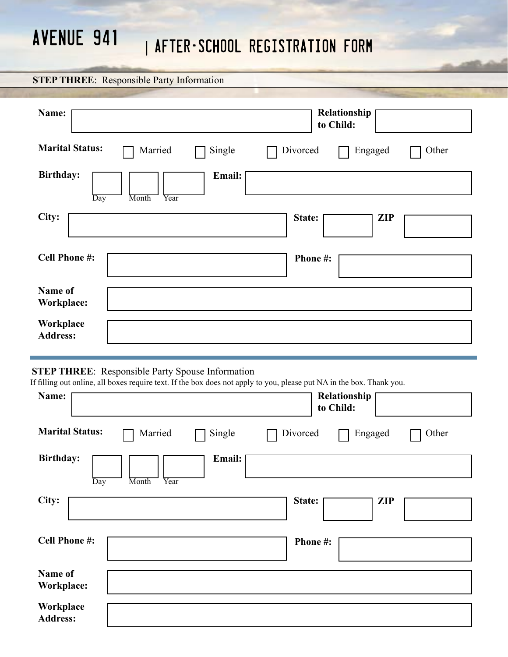#### **STEP THREE**: Responsible Party Information

| Name:                                              | Relationship<br>to Child:    |
|----------------------------------------------------|------------------------------|
| <b>Marital Status:</b><br>Married<br>Single        | Divorced<br>Engaged<br>Other |
| <b>Birthday:</b><br>Email:<br>Month<br>Year<br>Day |                              |
| City:                                              | State:<br><b>ZIP</b>         |
| <b>Cell Phone #:</b>                               | Phone#:                      |
| Name of<br><b>Workplace:</b>                       |                              |
| Workplace<br><b>Address:</b>                       |                              |

#### **STEP THREE**: Responsible Party Spouse Information

If filling out online, all boxes require text. If the box does not apply to you, please put NA in the box. Thank you.

| Name:                        |               |        |          | Relationship<br>to Child: |       |
|------------------------------|---------------|--------|----------|---------------------------|-------|
| <b>Marital Status:</b>       | Married       | Single | Divorced | Engaged                   | Other |
| <b>Birthday:</b>             |               | Email: |          |                           |       |
| Day<br>City:                 | Month<br>Year |        | State:   | <b>ZIP</b>                |       |
| <b>Cell Phone #:</b>         |               |        | Phone#:  |                           |       |
| Name of<br>Workplace:        |               |        |          |                           |       |
| Workplace<br><b>Address:</b> |               |        |          |                           |       |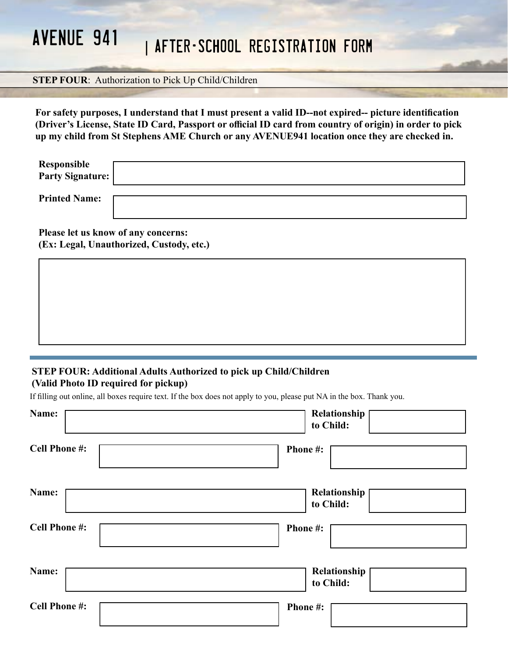#### **STEP FOUR:** Authorization to Pick Up Child/Children

**For safety purposes, I understand that I must present a valid ID--not expired-- picture identification (Driver's License, State ID Card, Passport or official ID card from country of origin) in order to pick up my child from St Stephens AME Church or any AVENUE941 location once they are checked in.** 

| Responsible<br>Party Signature: |  |
|---------------------------------|--|
| <b>Printed Name:</b>            |  |

**Please let us know of any concerns: (Ex: Legal, Unauthorized, Custody, etc.)**

#### **STEP FOUR: Additional Adults Authorized to pick up Child/Children (Valid Photo ID required for pickup)**

If filling out online, all boxes require text. If the box does not apply to you, please put NA in the box. Thank you.

| Name:                | Relationship<br>to Child: |
|----------------------|---------------------------|
| <b>Cell Phone #:</b> | Phone#:                   |
| Name:                | Relationship<br>to Child: |
| <b>Cell Phone #:</b> | Phone #:                  |
| Name:                | Relationship<br>to Child: |
| <b>Cell Phone #:</b> | Phone#:                   |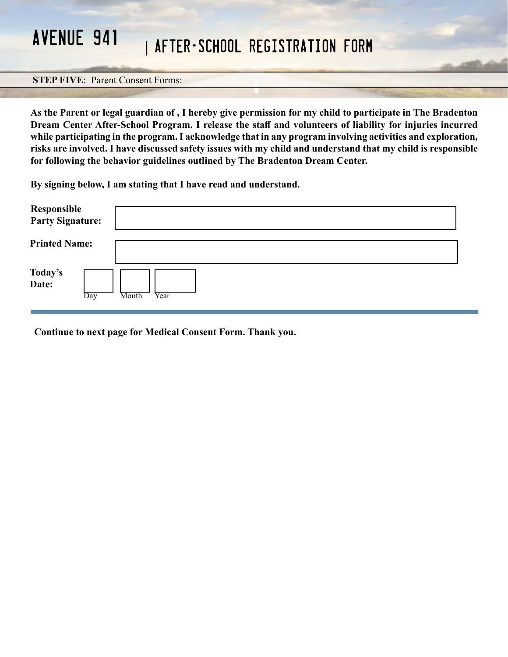#### **STEP FIVE**: Parent Consent Forms:

**As the Parent or legal guardian of , I hereby give permission for my child to participate in The Bradenton Dream Center After-School Program. I release the staff and volunteers of liability for injuries incurred while participating in the program. I acknowledge that in any program involving activities and exploration, risks are involved. I have discussed safety issues with my child and understand that my child is responsible for following the behavior guidelines outlined by The Bradenton Dream Center.** 

**By signing below, I am stating that I have read and understand.** 

| <b>Responsible<br/>Party Signature:</b> |               |
|-----------------------------------------|---------------|
| <b>Printed Name:</b>                    |               |
| Today's<br>Date:<br>Day                 | Month<br>Year |

**Continue to next page for Medical Consent Form. Thank you.**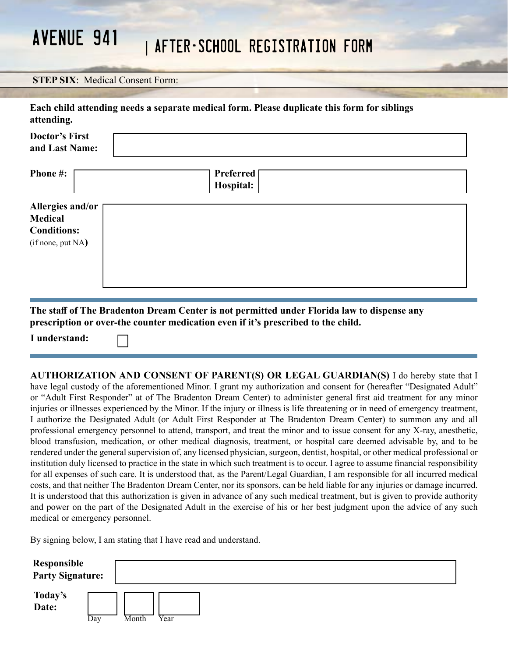#### **STEP SIX**: Medical Consent Form:

| attending.                                                                    | Each child attending needs a separate medical form. Please duplicate this form for siblings |  |
|-------------------------------------------------------------------------------|---------------------------------------------------------------------------------------------|--|
| <b>Doctor's First</b><br>and Last Name:                                       |                                                                                             |  |
| <b>Phone #:</b>                                                               | <b>Preferred</b><br>Hospital:                                                               |  |
| Allergies and/or<br><b>Medical</b><br><b>Conditions:</b><br>(if none, put NA) |                                                                                             |  |
|                                                                               | The staff of The Bradenton Dream Center is not nermitted under Florida law to disnense any  |  |

**The staff of The Bradenton Dream Center is not permitted under Florida law to dispense any prescription or over-the counter medication even if it's prescribed to the child.**

**I understand:** 

**AUTHORIZATION AND CONSENT OF PARENT(S) OR LEGAL GUARDIAN(S)** I do hereby state that I have legal custody of the aforementioned Minor. I grant my authorization and consent for (hereafter "Designated Adult" or "Adult First Responder" at of The Bradenton Dream Center) to administer general first aid treatment for any minor injuries or illnesses experienced by the Minor. If the injury or illness is life threatening or in need of emergency treatment, I authorize the Designated Adult (or Adult First Responder at The Bradenton Dream Center) to summon any and all professional emergency personnel to attend, transport, and treat the minor and to issue consent for any X-ray, anesthetic, blood transfusion, medication, or other medical diagnosis, treatment, or hospital care deemed advisable by, and to be rendered under the general supervision of, any licensed physician, surgeon, dentist, hospital, or other medical professional or institution duly licensed to practice in the state in which such treatment is to occur. I agree to assume financial responsibility for all expenses of such care. It is understood that, as the Parent/Legal Guardian, I am responsible for all incurred medical costs, and that neither The Bradenton Dream Center, nor its sponsors, can be held liable for any injuries or damage incurred. It is understood that this authorization is given in advance of any such medical treatment, but is given to provide authority and power on the part of the Designated Adult in the exercise of his or her best judgment upon the advice of any such medical or emergency personnel.

By signing below, I am stating that I have read and understand.

| <b>Responsible<br/>Party Signature:</b> |     |               |
|-----------------------------------------|-----|---------------|
| Today's<br>Date:                        | Day | Year<br>Month |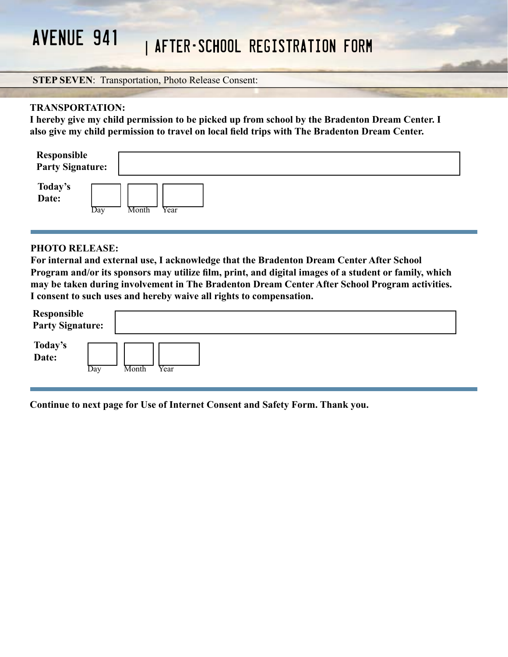#### **STEP SEVEN**: Transportation, Photo Release Consent:

#### **TRANSPORTATION:**

**I hereby give my child permission to be picked up from school by the Bradenton Dream Center. I also give my child permission to travel on local field trips with The Bradenton Dream Center.** 

| <b>Responsible<br/>Party Signature:</b> |     |       |      |  |  |
|-----------------------------------------|-----|-------|------|--|--|
| Today's<br>Date:                        | Day | Month | Year |  |  |

#### **PHOTO RELEASE:**

**For internal and external use, I acknowledge that the Bradenton Dream Center After School Program and/or its sponsors may utilize film, print, and digital images of a student or family, which may be taken during involvement in The Bradenton Dream Center After School Program activities. I consent to such uses and hereby waive all rights to compensation.** 

| <b>Responsible<br/>Party Signature:</b> |       |
|-----------------------------------------|-------|
| Today's<br>Date:                        | Year  |
| Day                                     | Month |

**Continue to next page for Use of Internet Consent and Safety Form. Thank you.**